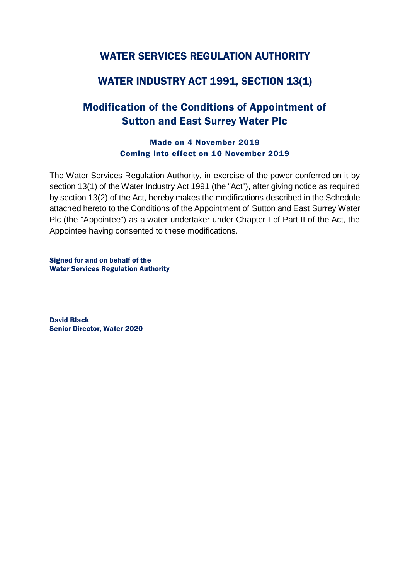# WATER SERVICES REGULATION AUTHORITY

# WATER INDUSTRY ACT 1991, SECTION 13(1)

# Modification of the Conditions of Appointment of Sutton and East Surrey Water Plc

# Made on 4 November 2019 Coming into effect on 10 November 2019

The Water Services Regulation Authority, in exercise of the power conferred on it by section 13(1) of the Water Industry Act 1991 (the "Act"), after giving notice as required by section 13(2) of the Act, hereby makes the modifications described in the Schedule attached hereto to the Conditions of the Appointment of Sutton and East Surrey Water Plc (the "Appointee") as a water undertaker under Chapter I of Part II of the Act, the Appointee having consented to these modifications.

Signed for and on behalf of the Water Services Regulation Authority

David Black Senior Director, Water 2020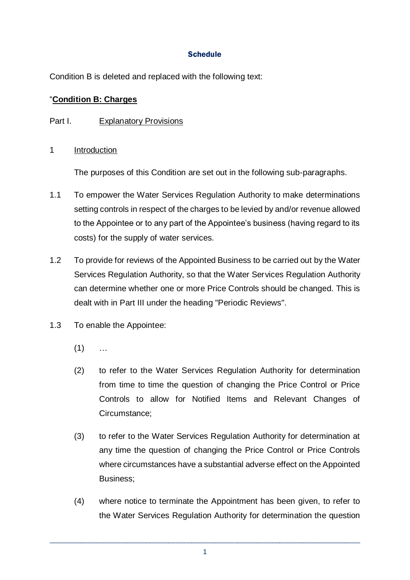# **Schedule**

Condition B is deleted and replaced with the following text:

# "**Condition B: Charges**

# Part I. Explanatory Provisions

1 Introduction

The purposes of this Condition are set out in the following sub-paragraphs.

- 1.1 To empower the Water Services Regulation Authority to make determinations setting controls in respect of the charges to be levied by and/or revenue allowed to the Appointee or to any part of the Appointee's business (having regard to its costs) for the supply of water services.
- 1.2 To provide for reviews of the Appointed Business to be carried out by the Water Services Regulation Authority, so that the Water Services Regulation Authority can determine whether one or more Price Controls should be changed. This is dealt with in Part III under the heading "Periodic Reviews".
- 1.3 To enable the Appointee:
	- $(1)$  ...
	- (2) to refer to the Water Services Regulation Authority for determination from time to time the question of changing the Price Control or Price Controls to allow for Notified Items and Relevant Changes of Circumstance;
	- (3) to refer to the Water Services Regulation Authority for determination at any time the question of changing the Price Control or Price Controls where circumstances have a substantial adverse effect on the Appointed Business;
	- (4) where notice to terminate the Appointment has been given, to refer to the Water Services Regulation Authority for determination the question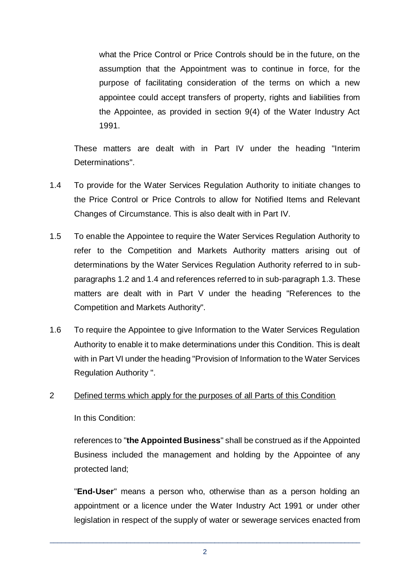what the Price Control or Price Controls should be in the future, on the assumption that the Appointment was to continue in force, for the purpose of facilitating consideration of the terms on which a new appointee could accept transfers of property, rights and liabilities from the Appointee, as provided in section 9(4) of the Water Industry Act 1991.

These matters are dealt with in Part IV under the heading "Interim Determinations".

- 1.4 To provide for the Water Services Regulation Authority to initiate changes to the Price Control or Price Controls to allow for Notified Items and Relevant Changes of Circumstance. This is also dealt with in Part IV.
- 1.5 To enable the Appointee to require the Water Services Regulation Authority to refer to the Competition and Markets Authority matters arising out of determinations by the Water Services Regulation Authority referred to in subparagraphs 1.2 and 1.4 and references referred to in sub-paragraph 1.3. These matters are dealt with in Part V under the heading "References to the Competition and Markets Authority".
- 1.6 To require the Appointee to give Information to the Water Services Regulation Authority to enable it to make determinations under this Condition. This is dealt with in Part VI under the heading "Provision of Information to the Water Services Regulation Authority ".

#### 2 Defined terms which apply for the purposes of all Parts of this Condition

In this Condition:

references to "**the Appointed Business**" shall be construed as if the Appointed Business included the management and holding by the Appointee of any protected land;

"**End-User**" means a person who, otherwise than as a person holding an appointment or a licence under the Water Industry Act 1991 or under other legislation in respect of the supply of water or sewerage services enacted from

\_\_\_\_\_\_\_\_\_\_\_\_\_\_\_\_\_\_\_\_\_\_\_\_\_\_\_\_\_\_\_\_\_\_\_\_\_\_\_\_\_\_\_\_\_\_\_\_\_\_\_\_\_\_\_\_\_\_\_\_\_\_\_\_\_\_\_\_\_\_\_\_\_\_\_\_\_\_\_\_\_ 2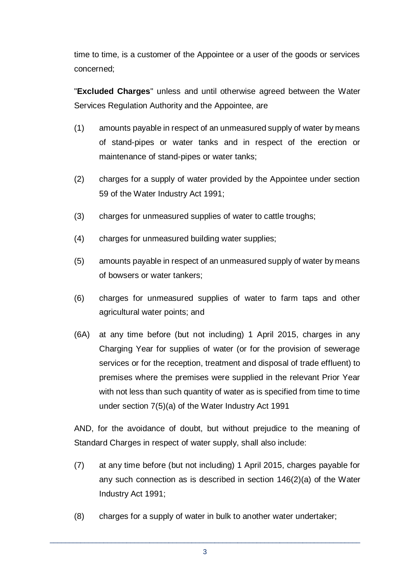time to time, is a customer of the Appointee or a user of the goods or services concerned;

"**Excluded Charges**" unless and until otherwise agreed between the Water Services Regulation Authority and the Appointee, are

- (1) amounts payable in respect of an unmeasured supply of water by means of stand-pipes or water tanks and in respect of the erection or maintenance of stand-pipes or water tanks;
- (2) charges for a supply of water provided by the Appointee under section 59 of the Water Industry Act 1991;
- (3) charges for unmeasured supplies of water to cattle troughs;
- (4) charges for unmeasured building water supplies;
- (5) amounts payable in respect of an unmeasured supply of water by means of bowsers or water tankers;
- (6) charges for unmeasured supplies of water to farm taps and other agricultural water points; and
- (6A) at any time before (but not including) 1 April 2015, charges in any Charging Year for supplies of water (or for the provision of sewerage services or for the reception, treatment and disposal of trade effluent) to premises where the premises were supplied in the relevant Prior Year with not less than such quantity of water as is specified from time to time under section 7(5)(a) of the Water Industry Act 1991

AND, for the avoidance of doubt, but without prejudice to the meaning of Standard Charges in respect of water supply, shall also include:

- (7) at any time before (but not including) 1 April 2015, charges payable for any such connection as is described in section 146(2)(a) of the Water Industry Act 1991;
- (8) charges for a supply of water in bulk to another water undertaker;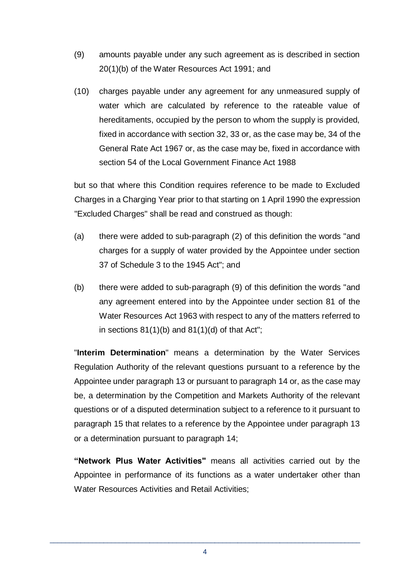- (9) amounts payable under any such agreement as is described in section 20(1)(b) of the Water Resources Act 1991; and
- (10) charges payable under any agreement for any unmeasured supply of water which are calculated by reference to the rateable value of hereditaments, occupied by the person to whom the supply is provided, fixed in accordance with section 32, 33 or, as the case may be, 34 of the General Rate Act 1967 or, as the case may be, fixed in accordance with section 54 of the Local Government Finance Act 1988

but so that where this Condition requires reference to be made to Excluded Charges in a Charging Year prior to that starting on 1 April 1990 the expression "Excluded Charges" shall be read and construed as though:

- (a) there were added to sub-paragraph (2) of this definition the words "and charges for a supply of water provided by the Appointee under section 37 of Schedule 3 to the 1945 Act"; and
- (b) there were added to sub-paragraph (9) of this definition the words "and any agreement entered into by the Appointee under section 81 of the Water Resources Act 1963 with respect to any of the matters referred to in sections  $81(1)(b)$  and  $81(1)(d)$  of that Act";

"**Interim Determination**" means a determination by the Water Services Regulation Authority of the relevant questions pursuant to a reference by the Appointee under paragraph 13 or pursuant to paragraph 14 or, as the case may be, a determination by the Competition and Markets Authority of the relevant questions or of a disputed determination subject to a reference to it pursuant to paragraph 15 that relates to a reference by the Appointee under paragraph 13 or a determination pursuant to paragraph 14;

**"Network Plus Water Activities"** means all activities carried out by the Appointee in performance of its functions as a water undertaker other than Water Resources Activities and Retail Activities;

\_\_\_\_\_\_\_\_\_\_\_\_\_\_\_\_\_\_\_\_\_\_\_\_\_\_\_\_\_\_\_\_\_\_\_\_\_\_\_\_\_\_\_\_\_\_\_\_\_\_\_\_\_\_\_\_\_\_\_\_\_\_\_\_\_\_\_\_\_\_\_\_\_\_\_\_\_\_\_\_\_ 4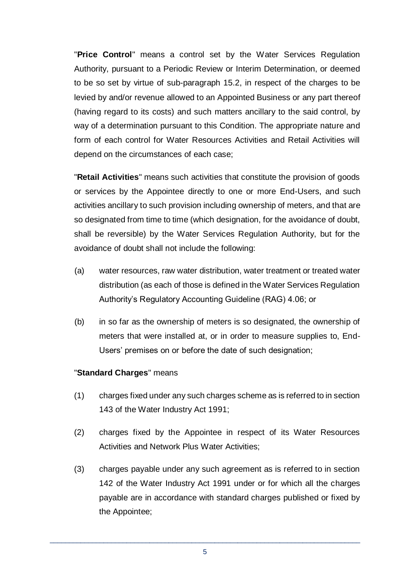"**Price Control**" means a control set by the Water Services Regulation Authority, pursuant to a Periodic Review or Interim Determination, or deemed to be so set by virtue of sub-paragraph 15.2, in respect of the charges to be levied by and/or revenue allowed to an Appointed Business or any part thereof (having regard to its costs) and such matters ancillary to the said control, by way of a determination pursuant to this Condition. The appropriate nature and form of each control for Water Resources Activities and Retail Activities will depend on the circumstances of each case;

"**Retail Activities**" means such activities that constitute the provision of goods or services by the Appointee directly to one or more End-Users, and such activities ancillary to such provision including ownership of meters, and that are so designated from time to time (which designation, for the avoidance of doubt, shall be reversible) by the Water Services Regulation Authority, but for the avoidance of doubt shall not include the following:

- (a) water resources, raw water distribution, water treatment or treated water distribution (as each of those is defined in the Water Services Regulation Authority's Regulatory Accounting Guideline (RAG) 4.06; or
- (b) in so far as the ownership of meters is so designated, the ownership of meters that were installed at, or in order to measure supplies to, End-Users' premises on or before the date of such designation;

#### "**Standard Charges**" means

- (1) charges fixed under any such charges scheme as is referred to in section 143 of the Water Industry Act 1991;
- (2) charges fixed by the Appointee in respect of its Water Resources Activities and Network Plus Water Activities;
- (3) charges payable under any such agreement as is referred to in section 142 of the Water Industry Act 1991 under or for which all the charges payable are in accordance with standard charges published or fixed by the Appointee;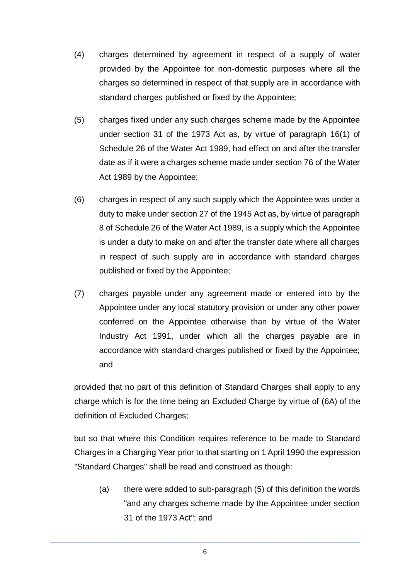- (4) charges determined by agreement in respect of a supply of water provided by the Appointee for non-domestic purposes where all the charges so determined in respect of that supply are in accordance with standard charges published or fixed by the Appointee;
- (5) charges fixed under any such charges scheme made by the Appointee under section 31 of the 1973 Act as, by virtue of paragraph 16(1) of Schedule 26 of the Water Act 1989, had effect on and after the transfer date as if it were a charges scheme made under section 76 of the Water Act 1989 by the Appointee;
- (6) charges in respect of any such supply which the Appointee was under a duty to make under section 27 of the 1945 Act as, by virtue of paragraph 8 of Schedule 26 of the Water Act 1989, is a supply which the Appointee is under a duty to make on and after the transfer date where all charges in respect of such supply are in accordance with standard charges published or fixed by the Appointee;
- (7) charges payable under any agreement made or entered into by the Appointee under any local statutory provision or under any other power conferred on the Appointee otherwise than by virtue of the Water Industry Act 1991, under which all the charges payable are in accordance with standard charges published or fixed by the Appointee; and

provided that no part of this definition of Standard Charges shall apply to any charge which is for the time being an Excluded Charge by virtue of (6A) of the definition of Excluded Charges;

but so that where this Condition requires reference to be made to Standard Charges in a Charging Year prior to that starting on 1 April 1990 the expression "Standard Charges" shall be read and construed as though:

(a) there were added to sub-paragraph (5) of this definition the words "and any charges scheme made by the Appointee under section 31 of the 1973 Act"; and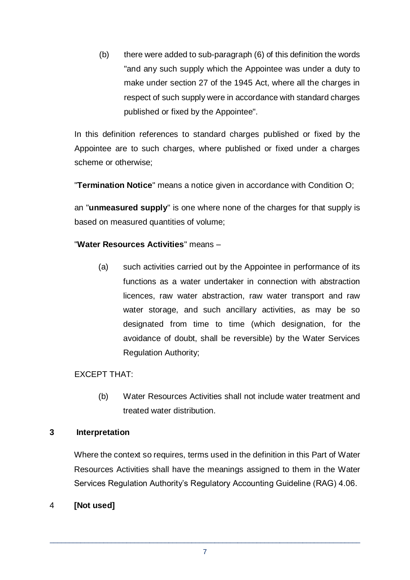(b) there were added to sub-paragraph (6) of this definition the words "and any such supply which the Appointee was under a duty to make under section 27 of the 1945 Act, where all the charges in respect of such supply were in accordance with standard charges published or fixed by the Appointee".

In this definition references to standard charges published or fixed by the Appointee are to such charges, where published or fixed under a charges scheme or otherwise;

"**Termination Notice**" means a notice given in accordance with Condition O;

an "**unmeasured supply**" is one where none of the charges for that supply is based on measured quantities of volume;

# "**Water Resources Activities**" means –

(a) such activities carried out by the Appointee in performance of its functions as a water undertaker in connection with abstraction licences, raw water abstraction, raw water transport and raw water storage, and such ancillary activities, as may be so designated from time to time (which designation, for the avoidance of doubt, shall be reversible) by the Water Services Regulation Authority;

#### EXCEPT THAT:

(b) Water Resources Activities shall not include water treatment and treated water distribution.

#### **3 Interpretation**

Where the context so requires, terms used in the definition in this Part of Water Resources Activities shall have the meanings assigned to them in the Water Services Regulation Authority's Regulatory Accounting Guideline (RAG) 4.06.

#### 4 **[Not used]**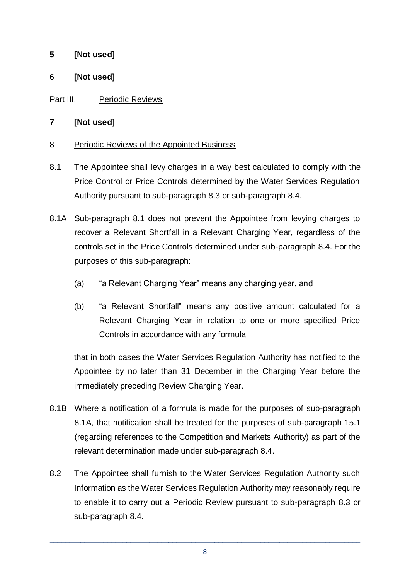# **5 [Not used]**

# 6 **[Not used]**

# Part III. Periodic Reviews

# **7 [Not used]**

#### 8 Periodic Reviews of the Appointed Business

- 8.1 The Appointee shall levy charges in a way best calculated to comply with the Price Control or Price Controls determined by the Water Services Regulation Authority pursuant to sub-paragraph 8.3 or sub-paragraph 8.4.
- 8.1A Sub-paragraph 8.1 does not prevent the Appointee from levying charges to recover a Relevant Shortfall in a Relevant Charging Year, regardless of the controls set in the Price Controls determined under sub-paragraph 8.4. For the purposes of this sub-paragraph:
	- (a) "a Relevant Charging Year" means any charging year, and
	- (b) "a Relevant Shortfall" means any positive amount calculated for a Relevant Charging Year in relation to one or more specified Price Controls in accordance with any formula

that in both cases the Water Services Regulation Authority has notified to the Appointee by no later than 31 December in the Charging Year before the immediately preceding Review Charging Year.

- 8.1B Where a notification of a formula is made for the purposes of sub-paragraph 8.1A, that notification shall be treated for the purposes of sub-paragraph 15.1 (regarding references to the Competition and Markets Authority) as part of the relevant determination made under sub-paragraph 8.4.
- 8.2 The Appointee shall furnish to the Water Services Regulation Authority such Information as the Water Services Regulation Authority may reasonably require to enable it to carry out a Periodic Review pursuant to sub-paragraph 8.3 or sub-paragraph 8.4.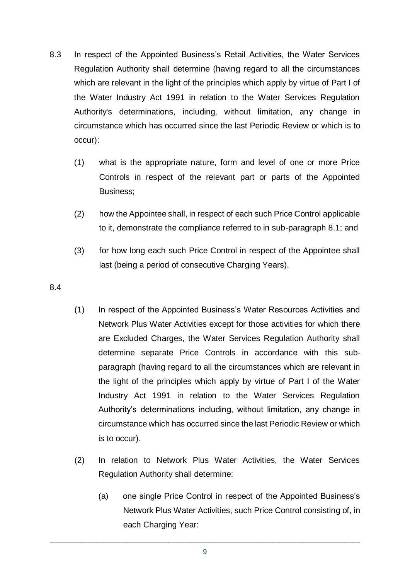- 8.3 In respect of the Appointed Business's Retail Activities, the Water Services Regulation Authority shall determine (having regard to all the circumstances which are relevant in the light of the principles which apply by virtue of Part I of the Water Industry Act 1991 in relation to the Water Services Regulation Authority's determinations, including, without limitation, any change in circumstance which has occurred since the last Periodic Review or which is to occur):
	- (1) what is the appropriate nature, form and level of one or more Price Controls in respect of the relevant part or parts of the Appointed Business;
	- (2) how the Appointee shall, in respect of each such Price Control applicable to it, demonstrate the compliance referred to in sub-paragraph 8.1; and
	- (3) for how long each such Price Control in respect of the Appointee shall last (being a period of consecutive Charging Years).
- 8.4
- (1) In respect of the Appointed Business's Water Resources Activities and Network Plus Water Activities except for those activities for which there are Excluded Charges, the Water Services Regulation Authority shall determine separate Price Controls in accordance with this subparagraph (having regard to all the circumstances which are relevant in the light of the principles which apply by virtue of Part I of the Water Industry Act 1991 in relation to the Water Services Regulation Authority's determinations including, without limitation, any change in circumstance which has occurred since the last Periodic Review or which is to occur).
- (2) In relation to Network Plus Water Activities, the Water Services Regulation Authority shall determine:
	- (a) one single Price Control in respect of the Appointed Business's Network Plus Water Activities, such Price Control consisting of, in each Charging Year:

\_\_\_\_\_\_\_\_\_\_\_\_\_\_\_\_\_\_\_\_\_\_\_\_\_\_\_\_\_\_\_\_\_\_\_\_\_\_\_\_\_\_\_\_\_\_\_\_\_\_\_\_\_\_\_\_\_\_\_\_\_\_\_\_\_\_\_\_\_\_\_\_\_\_\_\_\_\_\_\_\_ 9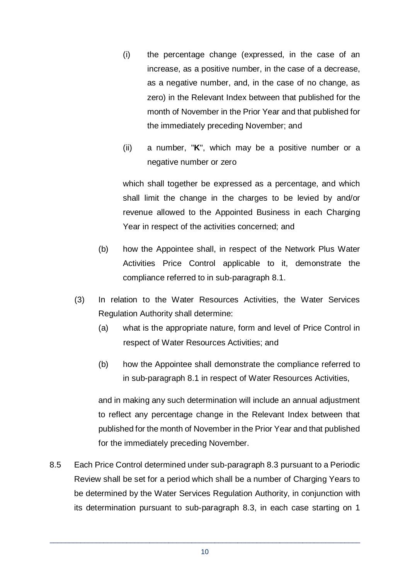- (i) the percentage change (expressed, in the case of an increase, as a positive number, in the case of a decrease, as a negative number, and, in the case of no change, as zero) in the Relevant Index between that published for the month of November in the Prior Year and that published for the immediately preceding November; and
- (ii) a number, "**K**", which may be a positive number or a negative number or zero

which shall together be expressed as a percentage, and which shall limit the change in the charges to be levied by and/or revenue allowed to the Appointed Business in each Charging Year in respect of the activities concerned; and

- (b) how the Appointee shall, in respect of the Network Plus Water Activities Price Control applicable to it, demonstrate the compliance referred to in sub-paragraph 8.1.
- (3) In relation to the Water Resources Activities, the Water Services Regulation Authority shall determine:
	- (a) what is the appropriate nature, form and level of Price Control in respect of Water Resources Activities; and
	- (b) how the Appointee shall demonstrate the compliance referred to in sub-paragraph 8.1 in respect of Water Resources Activities,

and in making any such determination will include an annual adjustment to reflect any percentage change in the Relevant Index between that published for the month of November in the Prior Year and that published for the immediately preceding November.

8.5 Each Price Control determined under sub-paragraph 8.3 pursuant to a Periodic Review shall be set for a period which shall be a number of Charging Years to be determined by the Water Services Regulation Authority, in conjunction with its determination pursuant to sub-paragraph 8.3, in each case starting on 1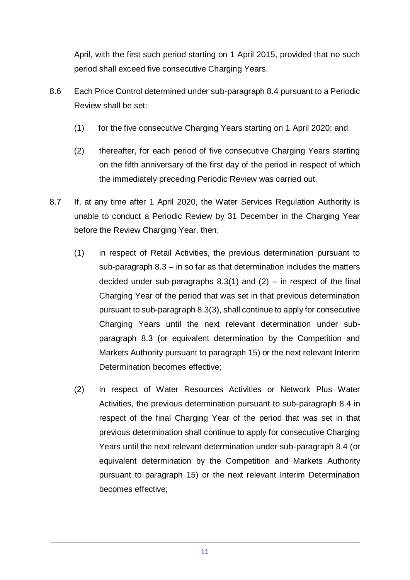April, with the first such period starting on 1 April 2015, provided that no such period shall exceed five consecutive Charging Years.

- 8.6 Each Price Control determined under sub-paragraph 8.4 pursuant to a Periodic Review shall be set:
	- (1) for the five consecutive Charging Years starting on 1 April 2020; and
	- (2) thereafter, for each period of five consecutive Charging Years starting on the fifth anniversary of the first day of the period in respect of which the immediately preceding Periodic Review was carried out.
- 8.7 If, at any time after 1 April 2020, the Water Services Regulation Authority is unable to conduct a Periodic Review by 31 December in the Charging Year before the Review Charging Year, then:
	- (1) in respect of Retail Activities, the previous determination pursuant to sub-paragraph 8.3 – in so far as that determination includes the matters decided under sub-paragraphs  $8.3(1)$  and  $(2)$  – in respect of the final Charging Year of the period that was set in that previous determination pursuant to sub-paragraph 8.3(3), shall continue to apply for consecutive Charging Years until the next relevant determination under subparagraph 8.3 (or equivalent determination by the Competition and Markets Authority pursuant to paragraph 15) or the next relevant Interim Determination becomes effective;
	- (2) in respect of Water Resources Activities or Network Plus Water Activities, the previous determination pursuant to sub-paragraph 8.4 in respect of the final Charging Year of the period that was set in that previous determination shall continue to apply for consecutive Charging Years until the next relevant determination under sub-paragraph 8.4 (or equivalent determination by the Competition and Markets Authority pursuant to paragraph 15) or the next relevant Interim Determination becomes effective;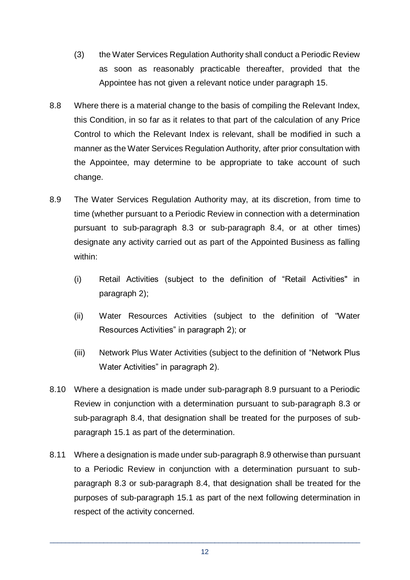- (3) the Water Services Regulation Authority shall conduct a Periodic Review as soon as reasonably practicable thereafter, provided that the Appointee has not given a relevant notice under paragraph 15.
- 8.8 Where there is a material change to the basis of compiling the Relevant Index, this Condition, in so far as it relates to that part of the calculation of any Price Control to which the Relevant Index is relevant, shall be modified in such a manner as the Water Services Regulation Authority, after prior consultation with the Appointee, may determine to be appropriate to take account of such change.
- 8.9 The Water Services Regulation Authority may, at its discretion, from time to time (whether pursuant to a Periodic Review in connection with a determination pursuant to sub-paragraph 8.3 or sub-paragraph 8.4, or at other times) designate any activity carried out as part of the Appointed Business as falling within:
	- (i) Retail Activities (subject to the definition of "Retail Activities" in paragraph 2);
	- (ii) Water Resources Activities (subject to the definition of "Water Resources Activities" in paragraph 2); or
	- (iii) Network Plus Water Activities (subject to the definition of "Network Plus Water Activities" in paragraph 2).
- 8.10 Where a designation is made under sub-paragraph 8.9 pursuant to a Periodic Review in conjunction with a determination pursuant to sub-paragraph 8.3 or sub-paragraph 8.4, that designation shall be treated for the purposes of subparagraph 15.1 as part of the determination.
- 8.11 Where a designation is made under sub-paragraph 8.9 otherwise than pursuant to a Periodic Review in conjunction with a determination pursuant to subparagraph 8.3 or sub-paragraph 8.4, that designation shall be treated for the purposes of sub-paragraph 15.1 as part of the next following determination in respect of the activity concerned.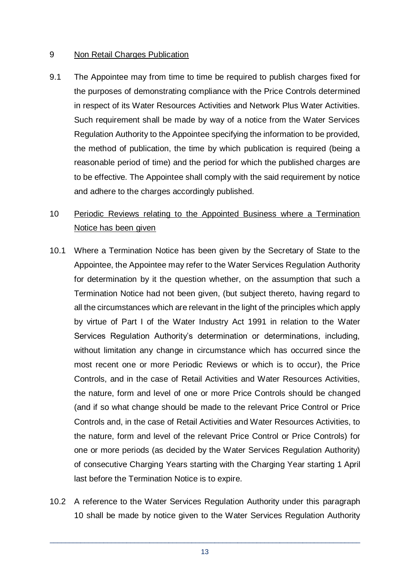#### 9 Non Retail Charges Publication

9.1 The Appointee may from time to time be required to publish charges fixed for the purposes of demonstrating compliance with the Price Controls determined in respect of its Water Resources Activities and Network Plus Water Activities. Such requirement shall be made by way of a notice from the Water Services Regulation Authority to the Appointee specifying the information to be provided, the method of publication, the time by which publication is required (being a reasonable period of time) and the period for which the published charges are to be effective. The Appointee shall comply with the said requirement by notice and adhere to the charges accordingly published.

# 10 Periodic Reviews relating to the Appointed Business where a Termination Notice has been given

- 10.1 Where a Termination Notice has been given by the Secretary of State to the Appointee, the Appointee may refer to the Water Services Regulation Authority for determination by it the question whether, on the assumption that such a Termination Notice had not been given, (but subject thereto, having regard to all the circumstances which are relevant in the light of the principles which apply by virtue of Part I of the Water Industry Act 1991 in relation to the Water Services Regulation Authority's determination or determinations, including, without limitation any change in circumstance which has occurred since the most recent one or more Periodic Reviews or which is to occur), the Price Controls, and in the case of Retail Activities and Water Resources Activities, the nature, form and level of one or more Price Controls should be changed (and if so what change should be made to the relevant Price Control or Price Controls and, in the case of Retail Activities and Water Resources Activities, to the nature, form and level of the relevant Price Control or Price Controls) for one or more periods (as decided by the Water Services Regulation Authority) of consecutive Charging Years starting with the Charging Year starting 1 April last before the Termination Notice is to expire.
- 10.2 A reference to the Water Services Regulation Authority under this paragraph 10 shall be made by notice given to the Water Services Regulation Authority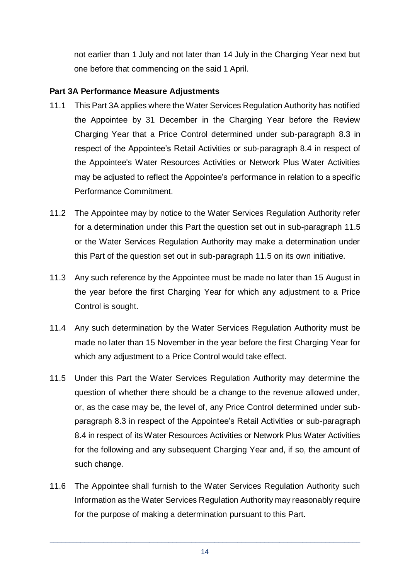not earlier than 1 July and not later than 14 July in the Charging Year next but one before that commencing on the said 1 April.

# **Part 3A Performance Measure Adjustments**

- 11.1 This Part 3A applies where the Water Services Regulation Authority has notified the Appointee by 31 December in the Charging Year before the Review Charging Year that a Price Control determined under sub-paragraph 8.3 in respect of the Appointee's Retail Activities or sub-paragraph 8.4 in respect of the Appointee's Water Resources Activities or Network Plus Water Activities may be adjusted to reflect the Appointee's performance in relation to a specific Performance Commitment.
- 11.2 The Appointee may by notice to the Water Services Regulation Authority refer for a determination under this Part the question set out in sub-paragraph 11.5 or the Water Services Regulation Authority may make a determination under this Part of the question set out in sub-paragraph 11.5 on its own initiative.
- 11.3 Any such reference by the Appointee must be made no later than 15 August in the year before the first Charging Year for which any adjustment to a Price Control is sought.
- 11.4 Any such determination by the Water Services Regulation Authority must be made no later than 15 November in the year before the first Charging Year for which any adjustment to a Price Control would take effect.
- 11.5 Under this Part the Water Services Regulation Authority may determine the question of whether there should be a change to the revenue allowed under, or, as the case may be, the level of, any Price Control determined under subparagraph 8.3 in respect of the Appointee's Retail Activities or sub-paragraph 8.4 in respect of its Water Resources Activities or Network Plus Water Activities for the following and any subsequent Charging Year and, if so, the amount of such change.
- 11.6 The Appointee shall furnish to the Water Services Regulation Authority such Information as the Water Services Regulation Authority may reasonably require for the purpose of making a determination pursuant to this Part.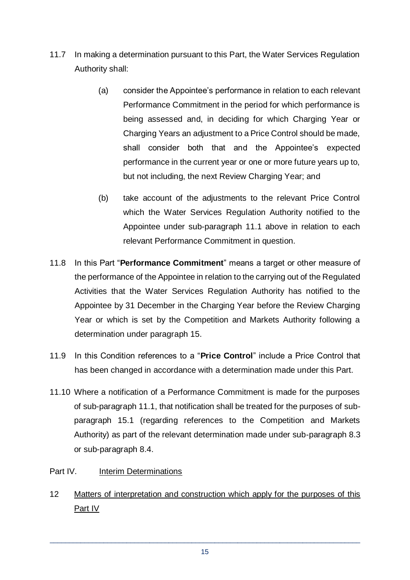- 11.7 In making a determination pursuant to this Part, the Water Services Regulation Authority shall:
	- (a) consider the Appointee's performance in relation to each relevant Performance Commitment in the period for which performance is being assessed and, in deciding for which Charging Year or Charging Years an adjustment to a Price Control should be made, shall consider both that and the Appointee's expected performance in the current year or one or more future years up to, but not including, the next Review Charging Year; and
	- (b) take account of the adjustments to the relevant Price Control which the Water Services Regulation Authority notified to the Appointee under sub-paragraph 11.1 above in relation to each relevant Performance Commitment in question.
- 11.8 In this Part "**Performance Commitment**" means a target or other measure of the performance of the Appointee in relation to the carrying out of the Regulated Activities that the Water Services Regulation Authority has notified to the Appointee by 31 December in the Charging Year before the Review Charging Year or which is set by the Competition and Markets Authority following a determination under paragraph 15.
- 11.9 In this Condition references to a "**Price Control**" include a Price Control that has been changed in accordance with a determination made under this Part.
- 11.10 Where a notification of a Performance Commitment is made for the purposes of sub-paragraph 11.1, that notification shall be treated for the purposes of subparagraph 15.1 (regarding references to the Competition and Markets Authority) as part of the relevant determination made under sub-paragraph 8.3 or sub-paragraph 8.4.
- Part IV. Interim Determinations
- 12 Matters of interpretation and construction which apply for the purposes of this Part IV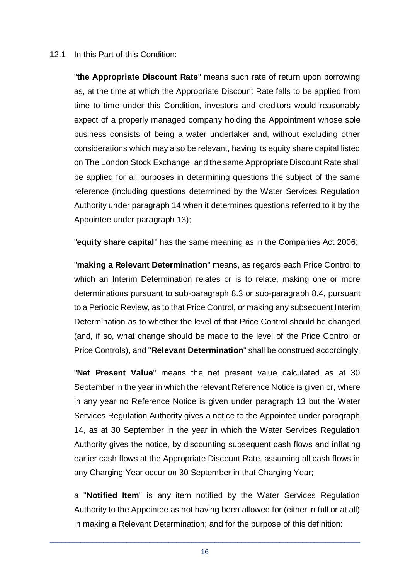#### 12.1 In this Part of this Condition:

"**the Appropriate Discount Rate**" means such rate of return upon borrowing as, at the time at which the Appropriate Discount Rate falls to be applied from time to time under this Condition, investors and creditors would reasonably expect of a properly managed company holding the Appointment whose sole business consists of being a water undertaker and, without excluding other considerations which may also be relevant, having its equity share capital listed on The London Stock Exchange, and the same Appropriate Discount Rate shall be applied for all purposes in determining questions the subject of the same reference (including questions determined by the Water Services Regulation Authority under paragraph 14 when it determines questions referred to it by the Appointee under paragraph 13);

"**equity share capital**" has the same meaning as in the Companies Act 2006;

"**making a Relevant Determination**" means, as regards each Price Control to which an Interim Determination relates or is to relate, making one or more determinations pursuant to sub-paragraph 8.3 or sub-paragraph 8.4, pursuant to a Periodic Review, as to that Price Control, or making any subsequent Interim Determination as to whether the level of that Price Control should be changed (and, if so, what change should be made to the level of the Price Control or Price Controls), and "**Relevant Determination**" shall be construed accordingly;

"**Net Present Value**" means the net present value calculated as at 30 September in the year in which the relevant Reference Notice is given or, where in any year no Reference Notice is given under paragraph 13 but the Water Services Regulation Authority gives a notice to the Appointee under paragraph 14, as at 30 September in the year in which the Water Services Regulation Authority gives the notice, by discounting subsequent cash flows and inflating earlier cash flows at the Appropriate Discount Rate, assuming all cash flows in any Charging Year occur on 30 September in that Charging Year;

a "**Notified Item**" is any item notified by the Water Services Regulation Authority to the Appointee as not having been allowed for (either in full or at all) in making a Relevant Determination; and for the purpose of this definition: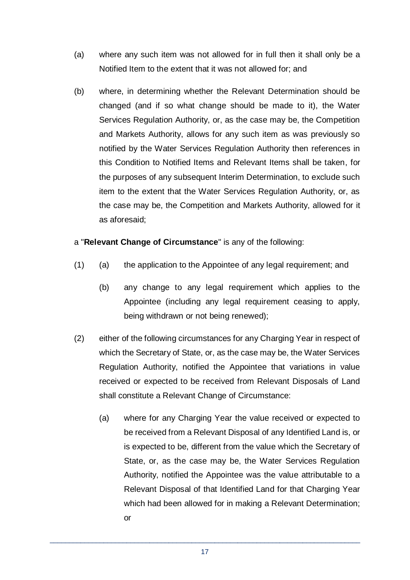- (a) where any such item was not allowed for in full then it shall only be a Notified Item to the extent that it was not allowed for; and
- (b) where, in determining whether the Relevant Determination should be changed (and if so what change should be made to it), the Water Services Regulation Authority, or, as the case may be, the Competition and Markets Authority, allows for any such item as was previously so notified by the Water Services Regulation Authority then references in this Condition to Notified Items and Relevant Items shall be taken, for the purposes of any subsequent Interim Determination, to exclude such item to the extent that the Water Services Regulation Authority, or, as the case may be, the Competition and Markets Authority, allowed for it as aforesaid;

#### a "**Relevant Change of Circumstance**" is any of the following:

- (1) (a) the application to the Appointee of any legal requirement; and
	- (b) any change to any legal requirement which applies to the Appointee (including any legal requirement ceasing to apply, being withdrawn or not being renewed);
- (2) either of the following circumstances for any Charging Year in respect of which the Secretary of State, or, as the case may be, the Water Services Regulation Authority, notified the Appointee that variations in value received or expected to be received from Relevant Disposals of Land shall constitute a Relevant Change of Circumstance:
	- (a) where for any Charging Year the value received or expected to be received from a Relevant Disposal of any Identified Land is, or is expected to be, different from the value which the Secretary of State, or, as the case may be, the Water Services Regulation Authority, notified the Appointee was the value attributable to a Relevant Disposal of that Identified Land for that Charging Year which had been allowed for in making a Relevant Determination; or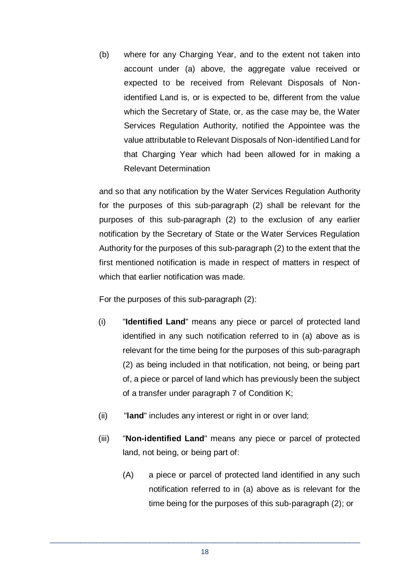(b) where for any Charging Year, and to the extent not taken into account under (a) above, the aggregate value received or expected to be received from Relevant Disposals of Nonidentified Land is, or is expected to be, different from the value which the Secretary of State, or, as the case may be, the Water Services Regulation Authority, notified the Appointee was the value attributable to Relevant Disposals of Non-identified Land for that Charging Year which had been allowed for in making a Relevant Determination

and so that any notification by the Water Services Regulation Authority for the purposes of this sub-paragraph (2) shall be relevant for the purposes of this sub-paragraph (2) to the exclusion of any earlier notification by the Secretary of State or the Water Services Regulation Authority for the purposes of this sub-paragraph (2) to the extent that the first mentioned notification is made in respect of matters in respect of which that earlier notification was made.

For the purposes of this sub-paragraph (2):

- (i) "**Identified Land**" means any piece or parcel of protected land identified in any such notification referred to in (a) above as is relevant for the time being for the purposes of this sub-paragraph (2) as being included in that notification, not being, or being part of, a piece or parcel of land which has previously been the subject of a transfer under paragraph 7 of Condition K;
- (ii) "**land**" includes any interest or right in or over land;
- (iii) "**Non-identified Land**" means any piece or parcel of protected land, not being, or being part of:
	- (A) a piece or parcel of protected land identified in any such notification referred to in (a) above as is relevant for the time being for the purposes of this sub-paragraph (2); or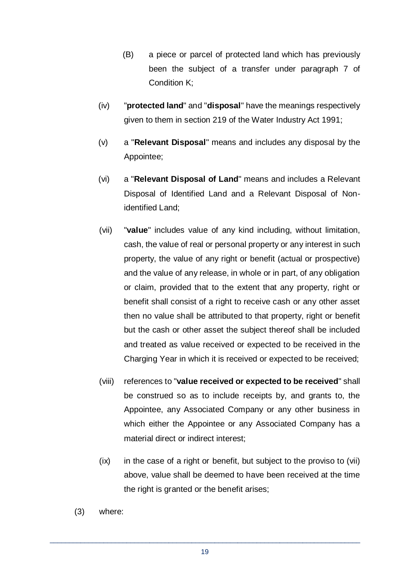- (B) a piece or parcel of protected land which has previously been the subject of a transfer under paragraph 7 of Condition K;
- (iv) "**protected land**" and "**disposal**" have the meanings respectively given to them in section 219 of the Water Industry Act 1991;
- (v) a "**Relevant Disposal**" means and includes any disposal by the Appointee;
- (vi) a "**Relevant Disposal of Land**" means and includes a Relevant Disposal of Identified Land and a Relevant Disposal of Nonidentified Land;
- (vii) "**value**" includes value of any kind including, without limitation, cash, the value of real or personal property or any interest in such property, the value of any right or benefit (actual or prospective) and the value of any release, in whole or in part, of any obligation or claim, provided that to the extent that any property, right or benefit shall consist of a right to receive cash or any other asset then no value shall be attributed to that property, right or benefit but the cash or other asset the subject thereof shall be included and treated as value received or expected to be received in the Charging Year in which it is received or expected to be received;
- (viii) references to "**value received or expected to be received**" shall be construed so as to include receipts by, and grants to, the Appointee, any Associated Company or any other business in which either the Appointee or any Associated Company has a material direct or indirect interest;
- (ix) in the case of a right or benefit, but subject to the proviso to (vii) above, value shall be deemed to have been received at the time the right is granted or the benefit arises;
- (3) where: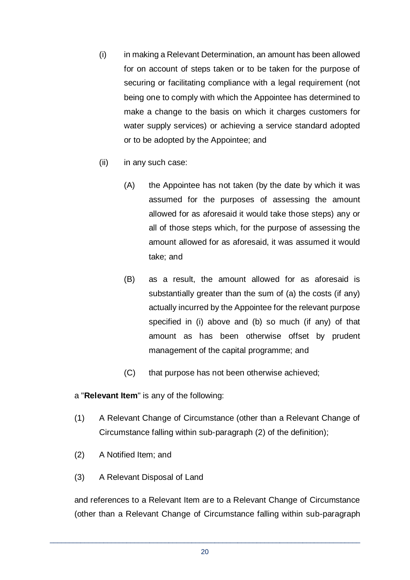- (i) in making a Relevant Determination, an amount has been allowed for on account of steps taken or to be taken for the purpose of securing or facilitating compliance with a legal requirement (not being one to comply with which the Appointee has determined to make a change to the basis on which it charges customers for water supply services) or achieving a service standard adopted or to be adopted by the Appointee; and
- (ii) in any such case:
	- (A) the Appointee has not taken (by the date by which it was assumed for the purposes of assessing the amount allowed for as aforesaid it would take those steps) any or all of those steps which, for the purpose of assessing the amount allowed for as aforesaid, it was assumed it would take; and
	- (B) as a result, the amount allowed for as aforesaid is substantially greater than the sum of (a) the costs (if any) actually incurred by the Appointee for the relevant purpose specified in (i) above and (b) so much (if any) of that amount as has been otherwise offset by prudent management of the capital programme; and
	- (C) that purpose has not been otherwise achieved;

a "**Relevant Item**" is any of the following:

- (1) A Relevant Change of Circumstance (other than a Relevant Change of Circumstance falling within sub-paragraph (2) of the definition);
- (2) A Notified Item; and
- (3) A Relevant Disposal of Land

and references to a Relevant Item are to a Relevant Change of Circumstance (other than a Relevant Change of Circumstance falling within sub-paragraph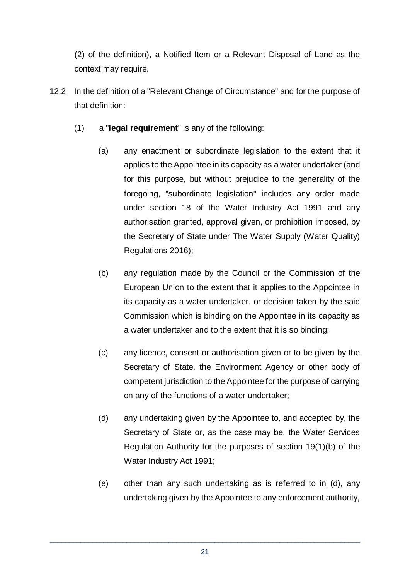(2) of the definition), a Notified Item or a Relevant Disposal of Land as the context may require.

- 12.2 In the definition of a "Relevant Change of Circumstance" and for the purpose of that definition:
	- (1) a "**legal requirement**" is any of the following:
		- (a) any enactment or subordinate legislation to the extent that it applies to the Appointee in its capacity as a water undertaker (and for this purpose, but without prejudice to the generality of the foregoing, "subordinate legislation" includes any order made under section 18 of the Water Industry Act 1991 and any authorisation granted, approval given, or prohibition imposed, by the Secretary of State under The Water Supply (Water Quality) Regulations 2016);
		- (b) any regulation made by the Council or the Commission of the European Union to the extent that it applies to the Appointee in its capacity as a water undertaker, or decision taken by the said Commission which is binding on the Appointee in its capacity as a water undertaker and to the extent that it is so binding;
		- (c) any licence, consent or authorisation given or to be given by the Secretary of State, the Environment Agency or other body of competent jurisdiction to the Appointee for the purpose of carrying on any of the functions of a water undertaker;
		- (d) any undertaking given by the Appointee to, and accepted by, the Secretary of State or, as the case may be, the Water Services Regulation Authority for the purposes of section 19(1)(b) of the Water Industry Act 1991;
		- (e) other than any such undertaking as is referred to in (d), any undertaking given by the Appointee to any enforcement authority,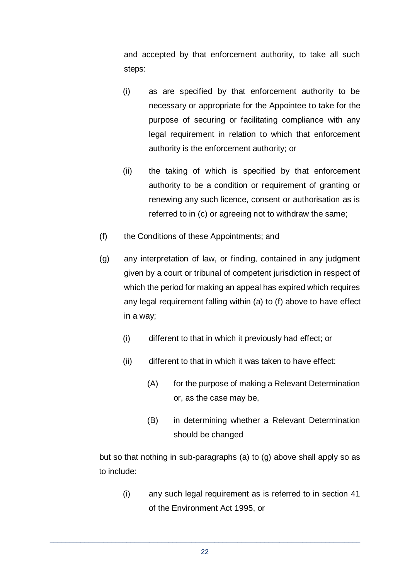and accepted by that enforcement authority, to take all such steps:

- (i) as are specified by that enforcement authority to be necessary or appropriate for the Appointee to take for the purpose of securing or facilitating compliance with any legal requirement in relation to which that enforcement authority is the enforcement authority; or
- (ii) the taking of which is specified by that enforcement authority to be a condition or requirement of granting or renewing any such licence, consent or authorisation as is referred to in (c) or agreeing not to withdraw the same;
- (f) the Conditions of these Appointments; and
- (g) any interpretation of law, or finding, contained in any judgment given by a court or tribunal of competent jurisdiction in respect of which the period for making an appeal has expired which requires any legal requirement falling within (a) to (f) above to have effect in a way;
	- (i) different to that in which it previously had effect; or
	- (ii) different to that in which it was taken to have effect:
		- (A) for the purpose of making a Relevant Determination or, as the case may be,
		- (B) in determining whether a Relevant Determination should be changed

but so that nothing in sub-paragraphs (a) to (g) above shall apply so as to include:

(i) any such legal requirement as is referred to in section 41 of the Environment Act 1995, or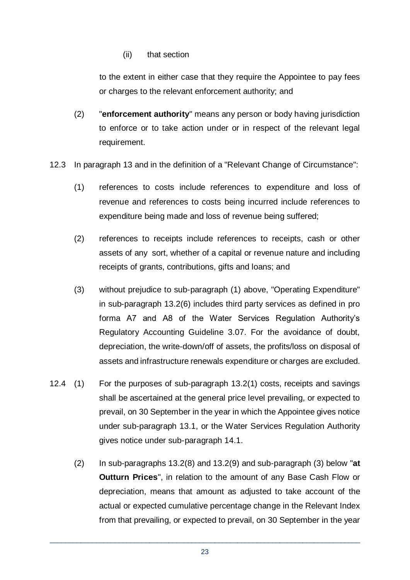(ii) that section

to the extent in either case that they require the Appointee to pay fees or charges to the relevant enforcement authority; and

- (2) "**enforcement authority**" means any person or body having jurisdiction to enforce or to take action under or in respect of the relevant legal requirement.
- 12.3 In paragraph 13 and in the definition of a "Relevant Change of Circumstance":
	- (1) references to costs include references to expenditure and loss of revenue and references to costs being incurred include references to expenditure being made and loss of revenue being suffered;
	- (2) references to receipts include references to receipts, cash or other assets of any sort, whether of a capital or revenue nature and including receipts of grants, contributions, gifts and loans; and
	- (3) without prejudice to sub-paragraph (1) above, "Operating Expenditure" in sub-paragraph 13.2(6) includes third party services as defined in pro forma A7 and A8 of the Water Services Regulation Authority's Regulatory Accounting Guideline 3.07. For the avoidance of doubt, depreciation, the write-down/off of assets, the profits/loss on disposal of assets and infrastructure renewals expenditure or charges are excluded.
- 12.4 (1) For the purposes of sub-paragraph 13.2(1) costs, receipts and savings shall be ascertained at the general price level prevailing, or expected to prevail, on 30 September in the year in which the Appointee gives notice under sub-paragraph 13.1, or the Water Services Regulation Authority gives notice under sub-paragraph 14.1.
	- (2) In sub-paragraphs 13.2(8) and 13.2(9) and sub-paragraph (3) below "**at Outturn Prices**", in relation to the amount of any Base Cash Flow or depreciation, means that amount as adjusted to take account of the actual or expected cumulative percentage change in the Relevant Index from that prevailing, or expected to prevail, on 30 September in the year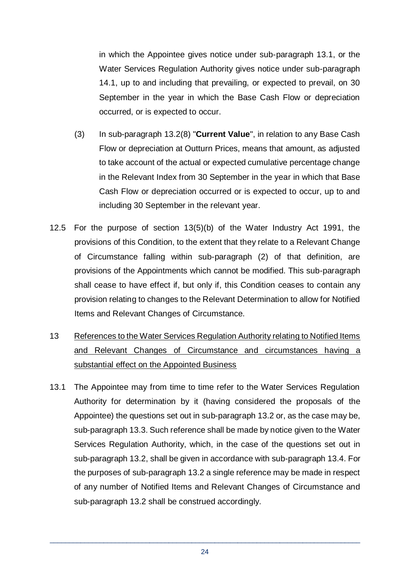in which the Appointee gives notice under sub-paragraph 13.1, or the Water Services Regulation Authority gives notice under sub-paragraph 14.1, up to and including that prevailing, or expected to prevail, on 30 September in the year in which the Base Cash Flow or depreciation occurred, or is expected to occur.

- (3) In sub-paragraph 13.2(8) "**Current Value**", in relation to any Base Cash Flow or depreciation at Outturn Prices, means that amount, as adjusted to take account of the actual or expected cumulative percentage change in the Relevant Index from 30 September in the year in which that Base Cash Flow or depreciation occurred or is expected to occur, up to and including 30 September in the relevant year.
- 12.5 For the purpose of section 13(5)(b) of the Water Industry Act 1991, the provisions of this Condition, to the extent that they relate to a Relevant Change of Circumstance falling within sub-paragraph (2) of that definition, are provisions of the Appointments which cannot be modified. This sub-paragraph shall cease to have effect if, but only if, this Condition ceases to contain any provision relating to changes to the Relevant Determination to allow for Notified Items and Relevant Changes of Circumstance.
- 13 References to the Water Services Regulation Authority relating to Notified Items and Relevant Changes of Circumstance and circumstances having a substantial effect on the Appointed Business
- 13.1 The Appointee may from time to time refer to the Water Services Regulation Authority for determination by it (having considered the proposals of the Appointee) the questions set out in sub-paragraph 13.2 or, as the case may be, sub-paragraph 13.3. Such reference shall be made by notice given to the Water Services Regulation Authority, which, in the case of the questions set out in sub-paragraph 13.2, shall be given in accordance with sub-paragraph 13.4. For the purposes of sub-paragraph 13.2 a single reference may be made in respect of any number of Notified Items and Relevant Changes of Circumstance and sub-paragraph 13.2 shall be construed accordingly.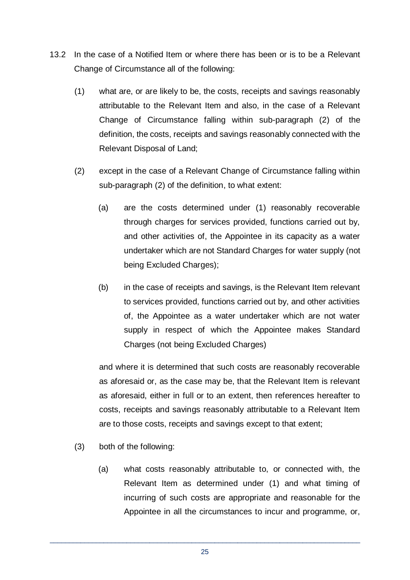- 13.2 In the case of a Notified Item or where there has been or is to be a Relevant Change of Circumstance all of the following:
	- (1) what are, or are likely to be, the costs, receipts and savings reasonably attributable to the Relevant Item and also, in the case of a Relevant Change of Circumstance falling within sub-paragraph (2) of the definition, the costs, receipts and savings reasonably connected with the Relevant Disposal of Land;
	- (2) except in the case of a Relevant Change of Circumstance falling within sub-paragraph (2) of the definition, to what extent:
		- (a) are the costs determined under (1) reasonably recoverable through charges for services provided, functions carried out by, and other activities of, the Appointee in its capacity as a water undertaker which are not Standard Charges for water supply (not being Excluded Charges);
		- (b) in the case of receipts and savings, is the Relevant Item relevant to services provided, functions carried out by, and other activities of, the Appointee as a water undertaker which are not water supply in respect of which the Appointee makes Standard Charges (not being Excluded Charges)

and where it is determined that such costs are reasonably recoverable as aforesaid or, as the case may be, that the Relevant Item is relevant as aforesaid, either in full or to an extent, then references hereafter to costs, receipts and savings reasonably attributable to a Relevant Item are to those costs, receipts and savings except to that extent;

- (3) both of the following:
	- (a) what costs reasonably attributable to, or connected with, the Relevant Item as determined under (1) and what timing of incurring of such costs are appropriate and reasonable for the Appointee in all the circumstances to incur and programme, or,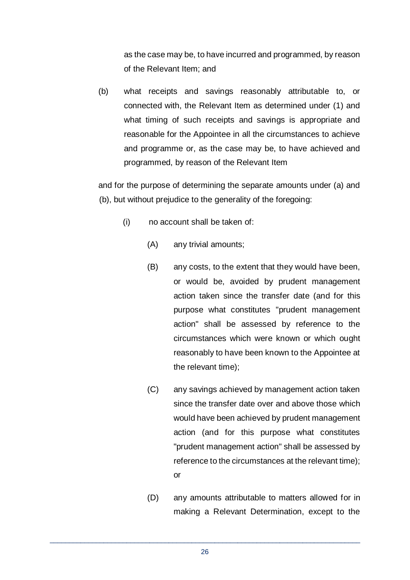as the case may be, to have incurred and programmed, by reason of the Relevant Item; and

(b) what receipts and savings reasonably attributable to, or connected with, the Relevant Item as determined under (1) and what timing of such receipts and savings is appropriate and reasonable for the Appointee in all the circumstances to achieve and programme or, as the case may be, to have achieved and programmed, by reason of the Relevant Item

and for the purpose of determining the separate amounts under (a) and (b), but without prejudice to the generality of the foregoing:

- (i) no account shall be taken of:
	- (A) any trivial amounts;
	- (B) any costs, to the extent that they would have been, or would be, avoided by prudent management action taken since the transfer date (and for this purpose what constitutes "prudent management action" shall be assessed by reference to the circumstances which were known or which ought reasonably to have been known to the Appointee at the relevant time);
	- (C) any savings achieved by management action taken since the transfer date over and above those which would have been achieved by prudent management action (and for this purpose what constitutes "prudent management action" shall be assessed by reference to the circumstances at the relevant time); or
	- (D) any amounts attributable to matters allowed for in making a Relevant Determination, except to the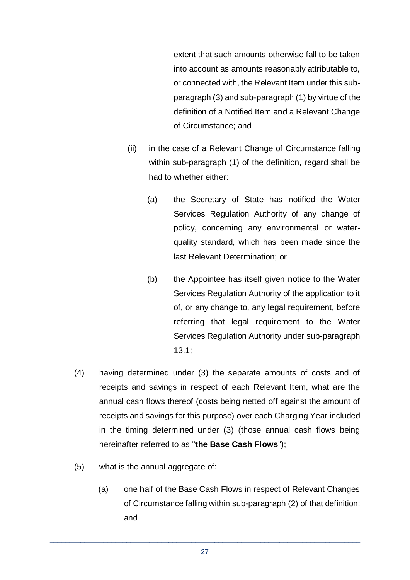extent that such amounts otherwise fall to be taken into account as amounts reasonably attributable to, or connected with, the Relevant Item under this subparagraph (3) and sub-paragraph (1) by virtue of the definition of a Notified Item and a Relevant Change of Circumstance; and

- (ii) in the case of a Relevant Change of Circumstance falling within sub-paragraph (1) of the definition, regard shall be had to whether either:
	- (a) the Secretary of State has notified the Water Services Regulation Authority of any change of policy, concerning any environmental or waterquality standard, which has been made since the last Relevant Determination; or
	- (b) the Appointee has itself given notice to the Water Services Regulation Authority of the application to it of, or any change to, any legal requirement, before referring that legal requirement to the Water Services Regulation Authority under sub-paragraph 13.1;
- (4) having determined under (3) the separate amounts of costs and of receipts and savings in respect of each Relevant Item, what are the annual cash flows thereof (costs being netted off against the amount of receipts and savings for this purpose) over each Charging Year included in the timing determined under (3) (those annual cash flows being hereinafter referred to as "**the Base Cash Flows**");
- (5) what is the annual aggregate of:
	- (a) one half of the Base Cash Flows in respect of Relevant Changes of Circumstance falling within sub-paragraph (2) of that definition; and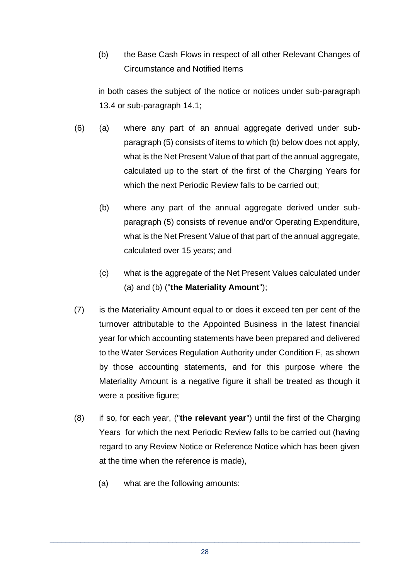(b) the Base Cash Flows in respect of all other Relevant Changes of Circumstance and Notified Items

in both cases the subject of the notice or notices under sub-paragraph 13.4 or sub-paragraph 14.1;

- (6) (a) where any part of an annual aggregate derived under subparagraph (5) consists of items to which (b) below does not apply, what is the Net Present Value of that part of the annual aggregate, calculated up to the start of the first of the Charging Years for which the next Periodic Review falls to be carried out:
	- (b) where any part of the annual aggregate derived under subparagraph (5) consists of revenue and/or Operating Expenditure, what is the Net Present Value of that part of the annual aggregate, calculated over 15 years; and
	- (c) what is the aggregate of the Net Present Values calculated under (a) and (b) ("**the Materiality Amount**");
- (7) is the Materiality Amount equal to or does it exceed ten per cent of the turnover attributable to the Appointed Business in the latest financial year for which accounting statements have been prepared and delivered to the Water Services Regulation Authority under Condition F, as shown by those accounting statements, and for this purpose where the Materiality Amount is a negative figure it shall be treated as though it were a positive figure;
- (8) if so, for each year, ("**the relevant year**") until the first of the Charging Years for which the next Periodic Review falls to be carried out (having regard to any Review Notice or Reference Notice which has been given at the time when the reference is made),
	- (a) what are the following amounts: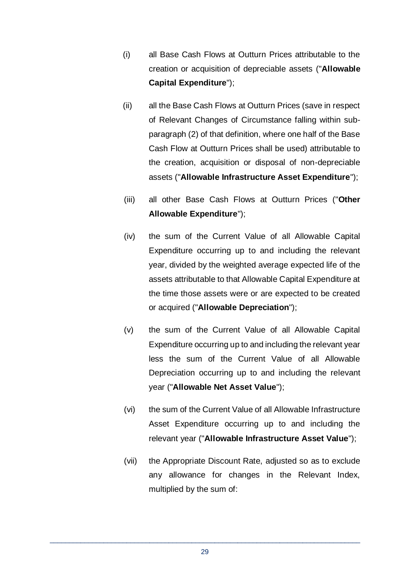- (i) all Base Cash Flows at Outturn Prices attributable to the creation or acquisition of depreciable assets ("**Allowable Capital Expenditure**");
- (ii) all the Base Cash Flows at Outturn Prices (save in respect of Relevant Changes of Circumstance falling within subparagraph (2) of that definition, where one half of the Base Cash Flow at Outturn Prices shall be used) attributable to the creation, acquisition or disposal of non-depreciable assets ("**Allowable Infrastructure Asset Expenditure**");
- (iii) all other Base Cash Flows at Outturn Prices ("**Other Allowable Expenditure**");
- (iv) the sum of the Current Value of all Allowable Capital Expenditure occurring up to and including the relevant year, divided by the weighted average expected life of the assets attributable to that Allowable Capital Expenditure at the time those assets were or are expected to be created or acquired ("**Allowable Depreciation**");
- (v) the sum of the Current Value of all Allowable Capital Expenditure occurring up to and including the relevant year less the sum of the Current Value of all Allowable Depreciation occurring up to and including the relevant year ("**Allowable Net Asset Value**");
- (vi) the sum of the Current Value of all Allowable Infrastructure Asset Expenditure occurring up to and including the relevant year ("**Allowable Infrastructure Asset Value**");
- (vii) the Appropriate Discount Rate, adjusted so as to exclude any allowance for changes in the Relevant Index, multiplied by the sum of: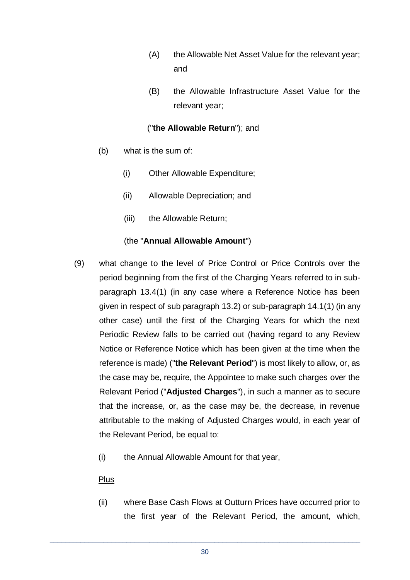- (A) the Allowable Net Asset Value for the relevant year; and
- (B) the Allowable Infrastructure Asset Value for the relevant year;

# ("**the Allowable Return**"); and

- (b) what is the sum of:
	- (i) Other Allowable Expenditure;
	- (ii) Allowable Depreciation; and
	- (iii) the Allowable Return:

# (the "**Annual Allowable Amount**")

- (9) what change to the level of Price Control or Price Controls over the period beginning from the first of the Charging Years referred to in subparagraph 13.4(1) (in any case where a Reference Notice has been given in respect of sub paragraph 13.2) or sub-paragraph 14.1(1) (in any other case) until the first of the Charging Years for which the next Periodic Review falls to be carried out (having regard to any Review Notice or Reference Notice which has been given at the time when the reference is made) ("**the Relevant Period**") is most likely to allow, or, as the case may be, require, the Appointee to make such charges over the Relevant Period ("**Adjusted Charges**"), in such a manner as to secure that the increase, or, as the case may be, the decrease, in revenue attributable to the making of Adjusted Charges would, in each year of the Relevant Period, be equal to:
	- (i) the Annual Allowable Amount for that year,

#### Plus

(ii) where Base Cash Flows at Outturn Prices have occurred prior to the first year of the Relevant Period, the amount, which,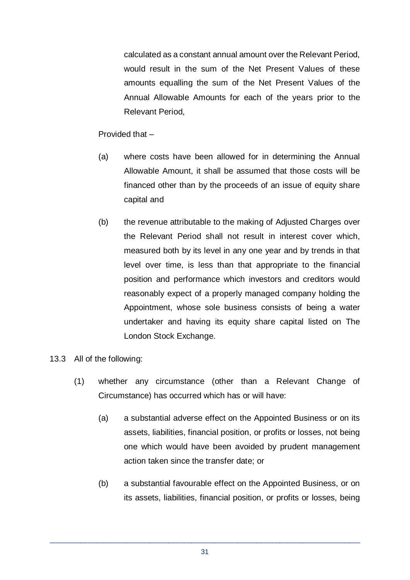calculated as a constant annual amount over the Relevant Period, would result in the sum of the Net Present Values of these amounts equalling the sum of the Net Present Values of the Annual Allowable Amounts for each of the years prior to the Relevant Period,

Provided that –

- (a) where costs have been allowed for in determining the Annual Allowable Amount, it shall be assumed that those costs will be financed other than by the proceeds of an issue of equity share capital and
- (b) the revenue attributable to the making of Adjusted Charges over the Relevant Period shall not result in interest cover which, measured both by its level in any one year and by trends in that level over time, is less than that appropriate to the financial position and performance which investors and creditors would reasonably expect of a properly managed company holding the Appointment, whose sole business consists of being a water undertaker and having its equity share capital listed on The London Stock Exchange.
- 13.3 All of the following:
	- (1) whether any circumstance (other than a Relevant Change of Circumstance) has occurred which has or will have:
		- (a) a substantial adverse effect on the Appointed Business or on its assets, liabilities, financial position, or profits or losses, not being one which would have been avoided by prudent management action taken since the transfer date; or
		- (b) a substantial favourable effect on the Appointed Business, or on its assets, liabilities, financial position, or profits or losses, being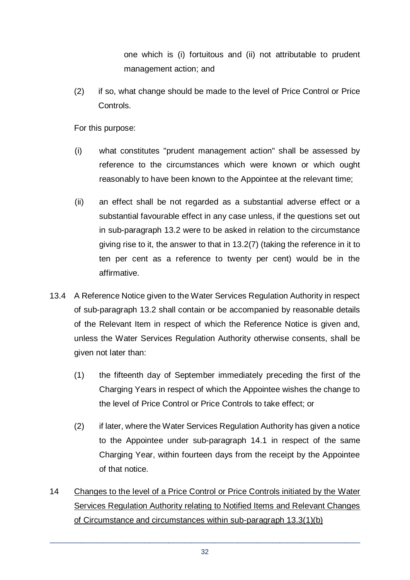one which is (i) fortuitous and (ii) not attributable to prudent management action; and

(2) if so, what change should be made to the level of Price Control or Price Controls.

For this purpose:

- (i) what constitutes "prudent management action" shall be assessed by reference to the circumstances which were known or which ought reasonably to have been known to the Appointee at the relevant time;
- (ii) an effect shall be not regarded as a substantial adverse effect or a substantial favourable effect in any case unless, if the questions set out in sub-paragraph 13.2 were to be asked in relation to the circumstance giving rise to it, the answer to that in 13.2(7) (taking the reference in it to ten per cent as a reference to twenty per cent) would be in the affirmative.
- 13.4 A Reference Notice given to the Water Services Regulation Authority in respect of sub-paragraph 13.2 shall contain or be accompanied by reasonable details of the Relevant Item in respect of which the Reference Notice is given and, unless the Water Services Regulation Authority otherwise consents, shall be given not later than:
	- (1) the fifteenth day of September immediately preceding the first of the Charging Years in respect of which the Appointee wishes the change to the level of Price Control or Price Controls to take effect; or
	- (2) if later, where the Water Services Regulation Authority has given a notice to the Appointee under sub-paragraph 14.1 in respect of the same Charging Year, within fourteen days from the receipt by the Appointee of that notice.
- 14 Changes to the level of a Price Control or Price Controls initiated by the Water Services Regulation Authority relating to Notified Items and Relevant Changes of Circumstance and circumstances within sub-paragraph 13.3(1)(b)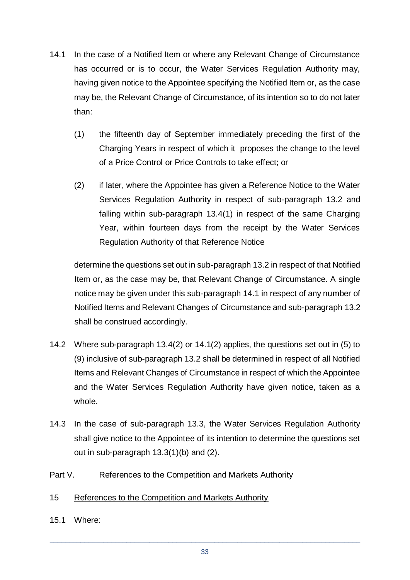- 14.1 In the case of a Notified Item or where any Relevant Change of Circumstance has occurred or is to occur, the Water Services Regulation Authority may, having given notice to the Appointee specifying the Notified Item or, as the case may be, the Relevant Change of Circumstance, of its intention so to do not later than:
	- (1) the fifteenth day of September immediately preceding the first of the Charging Years in respect of which it proposes the change to the level of a Price Control or Price Controls to take effect; or
	- (2) if later, where the Appointee has given a Reference Notice to the Water Services Regulation Authority in respect of sub-paragraph 13.2 and falling within sub-paragraph 13.4(1) in respect of the same Charging Year, within fourteen days from the receipt by the Water Services Regulation Authority of that Reference Notice

determine the questions set out in sub-paragraph 13.2 in respect of that Notified Item or, as the case may be, that Relevant Change of Circumstance. A single notice may be given under this sub-paragraph 14.1 in respect of any number of Notified Items and Relevant Changes of Circumstance and sub-paragraph 13.2 shall be construed accordingly.

- 14.2 Where sub-paragraph 13.4(2) or 14.1(2) applies, the questions set out in (5) to (9) inclusive of sub-paragraph 13.2 shall be determined in respect of all Notified Items and Relevant Changes of Circumstance in respect of which the Appointee and the Water Services Regulation Authority have given notice, taken as a whole.
- 14.3 In the case of sub-paragraph 13.3, the Water Services Regulation Authority shall give notice to the Appointee of its intention to determine the questions set out in sub-paragraph 13.3(1)(b) and (2).

#### Part V. References to the Competition and Markets Authority

#### 15 References to the Competition and Markets Authority

15.1 Where: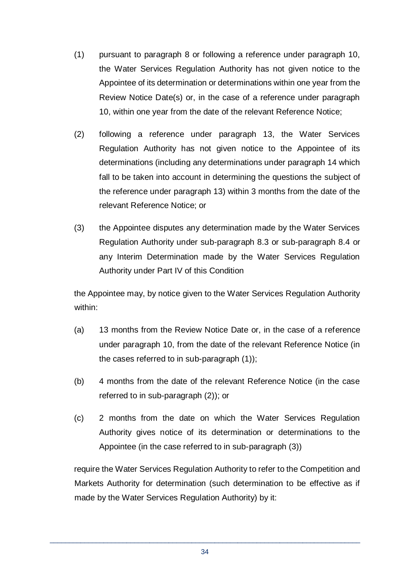- (1) pursuant to paragraph 8 or following a reference under paragraph 10, the Water Services Regulation Authority has not given notice to the Appointee of its determination or determinations within one year from the Review Notice Date(s) or, in the case of a reference under paragraph 10, within one year from the date of the relevant Reference Notice;
- (2) following a reference under paragraph 13, the Water Services Regulation Authority has not given notice to the Appointee of its determinations (including any determinations under paragraph 14 which fall to be taken into account in determining the questions the subject of the reference under paragraph 13) within 3 months from the date of the relevant Reference Notice; or
- (3) the Appointee disputes any determination made by the Water Services Regulation Authority under sub-paragraph 8.3 or sub-paragraph 8.4 or any Interim Determination made by the Water Services Regulation Authority under Part IV of this Condition

the Appointee may, by notice given to the Water Services Regulation Authority within:

- (a) 13 months from the Review Notice Date or, in the case of a reference under paragraph 10, from the date of the relevant Reference Notice (in the cases referred to in sub-paragraph (1));
- (b) 4 months from the date of the relevant Reference Notice (in the case referred to in sub-paragraph (2)); or
- (c) 2 months from the date on which the Water Services Regulation Authority gives notice of its determination or determinations to the Appointee (in the case referred to in sub-paragraph (3))

require the Water Services Regulation Authority to refer to the Competition and Markets Authority for determination (such determination to be effective as if made by the Water Services Regulation Authority) by it: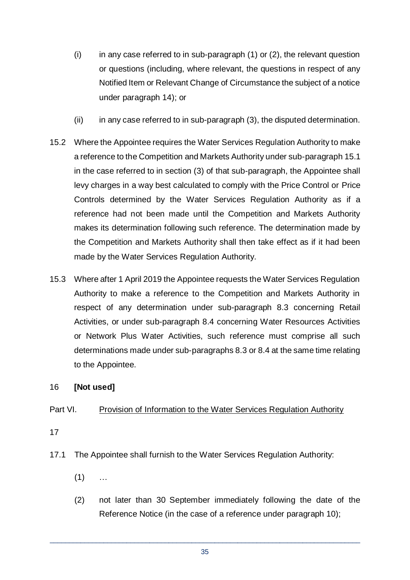- $(i)$  in any case referred to in sub-paragraph  $(1)$  or  $(2)$ , the relevant question or questions (including, where relevant, the questions in respect of any Notified Item or Relevant Change of Circumstance the subject of a notice under paragraph 14); or
- (ii) in any case referred to in sub-paragraph (3), the disputed determination.
- 15.2 Where the Appointee requires the Water Services Regulation Authority to make a reference to the Competition and Markets Authority under sub-paragraph 15.1 in the case referred to in section (3) of that sub-paragraph, the Appointee shall levy charges in a way best calculated to comply with the Price Control or Price Controls determined by the Water Services Regulation Authority as if a reference had not been made until the Competition and Markets Authority makes its determination following such reference. The determination made by the Competition and Markets Authority shall then take effect as if it had been made by the Water Services Regulation Authority.
- 15.3 Where after 1 April 2019 the Appointee requests the Water Services Regulation Authority to make a reference to the Competition and Markets Authority in respect of any determination under sub-paragraph 8.3 concerning Retail Activities, or under sub-paragraph 8.4 concerning Water Resources Activities or Network Plus Water Activities, such reference must comprise all such determinations made under sub-paragraphs 8.3 or 8.4 at the same time relating to the Appointee.

#### 16 **[Not used]**

#### Part VI. Provision of Information to the Water Services Regulation Authority

17

- 17.1 The Appointee shall furnish to the Water Services Regulation Authority:
	- $(1)$  ...
	- (2) not later than 30 September immediately following the date of the Reference Notice (in the case of a reference under paragraph 10);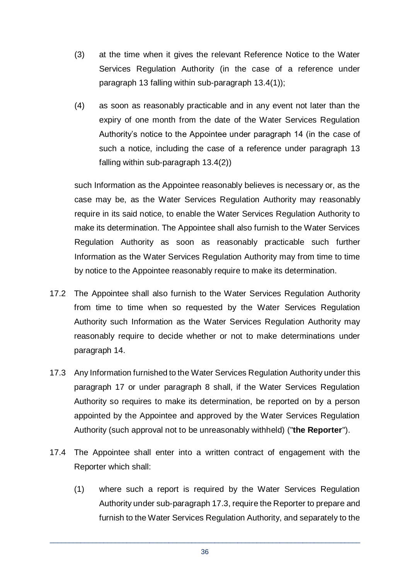- (3) at the time when it gives the relevant Reference Notice to the Water Services Regulation Authority (in the case of a reference under paragraph 13 falling within sub-paragraph 13.4(1));
- (4) as soon as reasonably practicable and in any event not later than the expiry of one month from the date of the Water Services Regulation Authority's notice to the Appointee under paragraph 14 (in the case of such a notice, including the case of a reference under paragraph 13 falling within sub-paragraph 13.4(2))

such Information as the Appointee reasonably believes is necessary or, as the case may be, as the Water Services Regulation Authority may reasonably require in its said notice, to enable the Water Services Regulation Authority to make its determination. The Appointee shall also furnish to the Water Services Regulation Authority as soon as reasonably practicable such further Information as the Water Services Regulation Authority may from time to time by notice to the Appointee reasonably require to make its determination.

- 17.2 The Appointee shall also furnish to the Water Services Regulation Authority from time to time when so requested by the Water Services Regulation Authority such Information as the Water Services Regulation Authority may reasonably require to decide whether or not to make determinations under paragraph 14.
- 17.3 Any Information furnished to the Water Services Regulation Authority under this paragraph 17 or under paragraph 8 shall, if the Water Services Regulation Authority so requires to make its determination, be reported on by a person appointed by the Appointee and approved by the Water Services Regulation Authority (such approval not to be unreasonably withheld) ("**the Reporter**").
- 17.4 The Appointee shall enter into a written contract of engagement with the Reporter which shall:
	- (1) where such a report is required by the Water Services Regulation Authority under sub-paragraph 17.3, require the Reporter to prepare and furnish to the Water Services Regulation Authority, and separately to the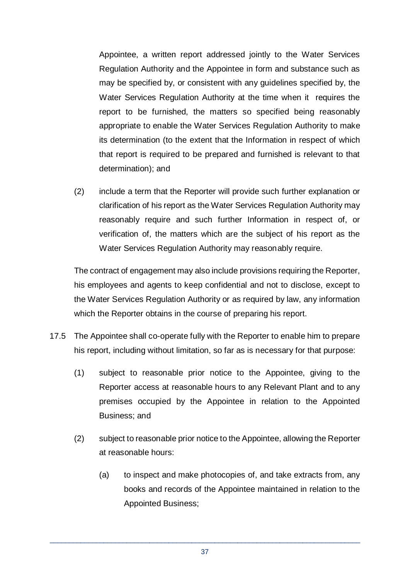Appointee, a written report addressed jointly to the Water Services Regulation Authority and the Appointee in form and substance such as may be specified by, or consistent with any guidelines specified by, the Water Services Regulation Authority at the time when it requires the report to be furnished, the matters so specified being reasonably appropriate to enable the Water Services Regulation Authority to make its determination (to the extent that the Information in respect of which that report is required to be prepared and furnished is relevant to that determination); and

(2) include a term that the Reporter will provide such further explanation or clarification of his report as the Water Services Regulation Authority may reasonably require and such further Information in respect of, or verification of, the matters which are the subject of his report as the Water Services Regulation Authority may reasonably require.

The contract of engagement may also include provisions requiring the Reporter, his employees and agents to keep confidential and not to disclose, except to the Water Services Regulation Authority or as required by law, any information which the Reporter obtains in the course of preparing his report.

- 17.5 The Appointee shall co-operate fully with the Reporter to enable him to prepare his report, including without limitation, so far as is necessary for that purpose:
	- (1) subject to reasonable prior notice to the Appointee, giving to the Reporter access at reasonable hours to any Relevant Plant and to any premises occupied by the Appointee in relation to the Appointed Business; and
	- (2) subject to reasonable prior notice to the Appointee, allowing the Reporter at reasonable hours:
		- (a) to inspect and make photocopies of, and take extracts from, any books and records of the Appointee maintained in relation to the Appointed Business;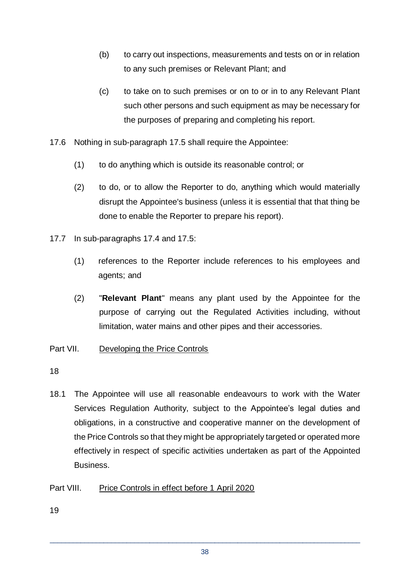- (b) to carry out inspections, measurements and tests on or in relation to any such premises or Relevant Plant; and
- (c) to take on to such premises or on to or in to any Relevant Plant such other persons and such equipment as may be necessary for the purposes of preparing and completing his report.
- 17.6 Nothing in sub-paragraph 17.5 shall require the Appointee:
	- (1) to do anything which is outside its reasonable control; or
	- (2) to do, or to allow the Reporter to do, anything which would materially disrupt the Appointee's business (unless it is essential that that thing be done to enable the Reporter to prepare his report).
- 17.7 In sub-paragraphs 17.4 and 17.5:
	- (1) references to the Reporter include references to his employees and agents; and
	- (2) "**Relevant Plant**" means any plant used by the Appointee for the purpose of carrying out the Regulated Activities including, without limitation, water mains and other pipes and their accessories.
- Part VII. Developing the Price Controls
- 18
- 18.1 The Appointee will use all reasonable endeavours to work with the Water Services Regulation Authority, subject to the Appointee's legal duties and obligations, in a constructive and cooperative manner on the development of the Price Controls so that they might be appropriately targeted or operated more effectively in respect of specific activities undertaken as part of the Appointed Business.

# Part VIII. Price Controls in effect before 1 April 2020

19